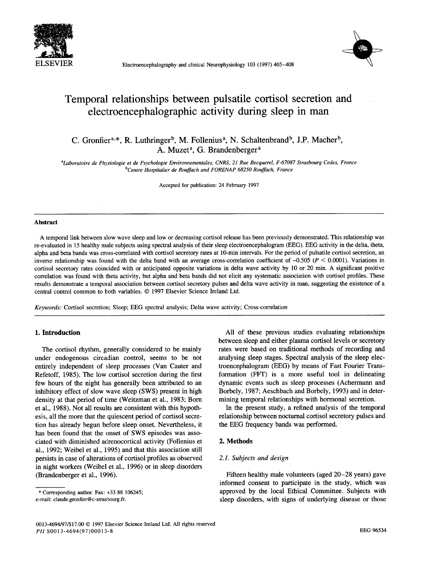

ELSEVIER Electroencephalography and clinical Neurophysiology 103 (1997) 405-408



# **Temporal relationships between pulsatile cortisol secretion and**  electroencephalographic activity during sleep in man

C. Gronfier<sup>a,\*</sup>, R. Luthringer<sup>b</sup>, M. Follenius<sup>a</sup>, N. Schaltenbrand<sup>b</sup>, J.P. Macher<sup>b</sup>, A. Muzet<sup>a</sup>, G. Brandenberger<sup>a</sup>

*aLaboratoire de Physiologie et de Psychologie Environnementales, CNRS, 21 Rue Becquerel, F-67087 Strasbourg Cedex, France bCentre Hospitalier de Rouffach and FORENAP 68250 Rouffach, France* 

Accepted for publication: 24 February 1997

#### **Abstract**

A temporal link between slow wave sleep and low or decreasing cortisol release has been previously demonstrated. This relationship was re-evaluated in 15 healthy male subjects using spectral analysis of their sleep electroencephalogram (EEG). EEG activity in the delta, theta, alpha and beta bands was cross-correlated with cortisol secretory rates at 10-min intervals. For the period of pulsatile cortisol secretion, an inverse relationship was found with the delta band with an average cross-correlation coefficient of  $-0.505$  ( $P < 0.0001$ ). Variations in cortisol secretory rates coincided with or anticipated opposite variations in delta wave activity by 10 or 20 min. A significant positive correlation was found with theta activity, but alpha and beta bands did not elicit any systematic association with cortisol profiles. These results demonstrate a temporal association between cortisol secretory pulses and delta wave activity in man, suggesting the existence of a central control common to both variables. © 1997 Elsevier Science Ireland Ltd.

*Keywords:* Cortisol secretion; Sleep; EEG spectral analysis; Delta wave activity; Cross-correlation

## **1. Introduction**

The cortisol rhythm, generally considered to be mainly under endogenous circadian control, seems to be not entirely independent of sleep processes (Van Cauter and Refetoff, 1985). The low cortisol secretion during the first few hours of the night has generally been attributed to an inhibitory effect of slow wave sleep (SWS) present in high density at that period of time (Weitzman et al., 1983; Born et al., 1988). Not all results are consistent with this hypothesis, all the more that the quiescent period of cortisol secretion has already begun before sleep onset. Nevertheless, it has been found that the onset of SWS episodes was associated with diminished adrenocortical activity (Follenius et al., 1992; Weibel et al., 1995) and that this association still persists in case of alterations of cortisol profiles as observed in night workers (Weibel et al., 1996) or in sleep disorders (Brandenberger et al., 1996).

between sleep and either plasma cortisol levels or secretory rates were based on traditional methods of recording and analysing sleep stages. Spectral analysis of the sleep electroencephalogram (EEG) by means of Fast Fourier Transformation (FFT) is a more useful tool in delineating dynamic events such as sleep processes (Achermann and Borbely, 1987; Aeschbach and Borbely, 1993) and in determining temporal relationships with hormonal secretion.

All of these previous studies evaluating relationships

In the present study, a refined analysis of the temporal relationship between nocturnal cortisol secretory pulses and the EEG frequency bands was performed.

#### **2. Methods**

#### *2.1. Subjects and design*

Fifteen healthy male volunteers (aged 20-28 years) gave informed consent to participate in the study, which was approved by the local Ethical Committee. Subjects with sleep disorders, with signs of underlying disease or those

<sup>\*</sup> Corresponding author. Fax: +33 88 106245; e-mail: claude.gronfier @c-strasbourg.fr.

<sup>0013-4694/97/\$17.00 © 1997</sup> Elsevier Science Ireland Ltd. All rights reserved *PII* S0013-4694(97)00013-8 EEG 96534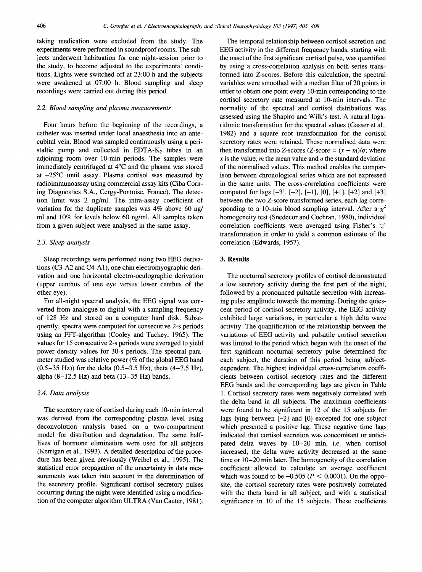taking medication were excluded from the study. The experiments were performed in soundproof rooms. The subjects underwent habituation for one night-session prior to the study, to become adjusted to the experimental conditions. Lights were switched off at 23:00 h and the subjects were awakened at 07:00 h. Blood sampling and sleep recordings were carried out during this period.

## *2.2. Blood sampling and plasma measurements*

Four hours before the beginning of the recordings, a catheter was inserted under local anaesthesia into an antecubital vein. Blood was sampled continuously using a peristaltic pump and collected in EDTA- $K_2$  tubes in an adjoining room over 10-min periods. The samples were immediately centrifuged at 4°C and the plasma was stored at  $-25^{\circ}$ C until assay. Plasma cortisol was measured by radioimmunoassay using commercial assay kits (Ciba Coming Diagnostics S.A., Cergy-Pontoise, France). The detection limit was 2 ng/ml. The intra-assay coefficient of variation for the duplicate samples was 4% above 60 ng/ ml and 10% for levels below 60 ng/ml. All samples taken from a given subject were analysed in the same assay.

## *2.3. Sleep analysis*

Sleep recordings were performed using two EEG derivations (C3-A2 and C4-A1), one chin electromyographic derivation and one horizontal electro-oculographic derivation (upper canthus of one eye versus lower canthus of the other eye).

For all-night spectral analysis, the EEG signal was converted from analogue to digital with a sampling frequency of 128 Hz and stored on a computer hard disk. Subsequently, spectra were computed for consecutive 2-s periods using an FFT-algorithm (Cooley and Tuckey, 1965). The values for 15 consecutive 2-s periods were averaged to yield power density values for 30-s periods. The spectral parameter studied was relative power (% of the global EEG band  $(0.5-35 \text{ Hz})$  for the delta  $(0.5-3.5 \text{ Hz})$ , theta  $(4-7.5 \text{ Hz})$ , alpha  $(8-12.5 \text{ Hz})$  and beta  $(13-35 \text{ Hz})$  bands.

## *2.4. Data analysis*

The secretory rate of cortisol during each 10-min interval was derived from the corresponding plasma level using deconvolution analysis based on a two-compartment model for distribution and degradation. The same halflives of hormone elimination were used for all subjects (Kerrigan et al., 1993). A detailed description of the procedure has been given previously (Weibel et al., 1995). The statistical error propagation of the uncertainty in data measurements was taken into account in the determination of the secretory profile. Significant cortisol secretory pulses occurring during the night were identified using a modification of the computer algorithm ULTRA (Van Cauter, 1981).

The temporal relationship between cortisol secretion and EEG activity in the different frequency bands, starting with the onset of the first significant cortisol pulse, was quantified by using a cross-correlation analysis on both series transformed into Z-scores. Before this calculation, the spectral variables were smoothed with a median filter of 20 points in order to obtain one point every 10-min corresponding to the cortisol secretory rate measured at 10-min intervals. The normality of the spectral and cortisol distributions was assessed using the Shapiro and Wilk's test. A natural logarithmic transformation for the spectral values (Gasser et al., 1982) and a square root transformation for the cortisol secretory rates were retained. These normalised data were then transformed into Z-scores (Z-score  $=(x - m)/\sigma$ ; where x is the value, m the mean value and  $\sigma$  the standard deviation of the normalised values. This method enables the comparison between chronological series which are not expressed in the same units. The cross-correlation coefficients were computed for lags  $[-3]$ ,  $[-2]$ ,  $[-1]$ ,  $[0]$ ,  $[+1]$ ,  $[+2]$  and  $[+3]$ between the two Z-score transformed series, each lag corresponding to a 10-min blood sampling interval. After a  $\chi^2$ homogeneity test (Snedecor and Cochran, 1980), individual correlation coefficients were averaged using Fisher's 'z' transformation in order to yield a common estimate of the correlation (Edwards, 1957).

## **3. Results**

The nocturnal secretory profiles of cortisol demonstrated a low secretory activity during the first part of the night, followed by a pronounced pulsatile secretion with increasing pulse amplitude towards the morning. During the quiescent period of cortisol secretory activity, the EEG activity exhibited large variations, in particular a high delta wave activity. The quantification of the relationship between the variations of EEG activity and pulsatile cortisol secretion was limited to the period which began with the onset of the first significant nocturnal secretory pulse determined for each subject, the duration of this period being subjectdependent. The highest individual cross-correlation coefficients between cortisol secretory rates and the different EEG bands and the corresponding lags are given in Table 1. Cortisol secretory rates were negatively correlated with the delta band in all subjects. The maximum coefficients were found to be significant in 12 of the 15 subjects for lags lying between [-2] and [0] excepted for one subject which presented a positive lag. These negative time lags indicated that cortisol secretion was concomitant or anticipated delta waves by 10-20 min, i.e. when cortisol increased, the delta wave activity decreased at the same time or 10-20 min later. The homogeneity of the correlation coefficient allowed to calculate an average coefficient which was found to be  $-0.505$  ( $P < 0.0001$ ). On the opposite, the cortisol secretory rates were positively correlated with the theta band in all subject, and with a statistical significance in 10 of the 15 subjects. These coefficients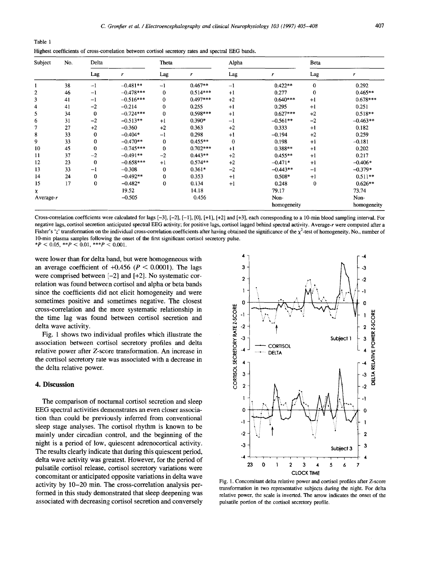| Table 1 |                                                                                                    |
|---------|----------------------------------------------------------------------------------------------------|
|         | Highest coefficients of cross-correlation between cortisol secretory rates and spectral EEG bands. |

| Subject      | No. | Delta    |             | Theta        |            | Alpha    |             | <b>Beta</b> |             |
|--------------|-----|----------|-------------|--------------|------------|----------|-------------|-------------|-------------|
|              |     | Lag      | r           | Lag          | r          | Lag      | r           | Lag         | r           |
|              | 38  | $-1$     | $-0.481**$  | $-1$         | $0.467**$  | $-1$     | $0.422**$   | $\mathbf 0$ | 0.292       |
| 2            | 46  | $-1$     | $-0.478***$ | $\bf{0}$     | $0.514***$ | $+1$     | 0.277       | $\bf{0}$    | $0.465**$   |
| 3            | 41  | $-1$     | $-0.516***$ | $\mathbf{0}$ | $0.497***$ | $+2$     | $0.640***$  | $+1$        | $0.678***$  |
| 4            | 41  | $-2$     | $-0.214$    | $\bf{0}$     | 0.255      | $+1$     | 0.295       | $+1$        | 0.251       |
| 5            | 34  | $\bf{0}$ | $-0.724***$ | $\mathbf{0}$ | $0.598***$ | $+1$     | $0.627***$  | $+2$        | $0.518**$   |
| 6            | 31  | $-2$     | $-0.513**$  | $+1$         | $0.390*$   | $-1$     | $-0.561**$  | $-2$        | $-0.463**$  |
| 7            | 27  | $+2$     | $-0.360$    | $+2$         | 0.363      | $+2$     | 0.333       | $+1$        | 0.182       |
| 8            | 33  | 0        | $-0.404*$   | $-1$         | 0.298      | $+1$     | $-0.194$    | $+2$        | 0.259       |
| 9            | 33  | 0        | $-0.470**$  | $\mathbf{0}$ | $0.455**$  | $\bf{0}$ | 0.198       | $+1$        | $-0.181$    |
| 10           | 45  | $\bf{0}$ | $-0.745***$ | $\mathbf{0}$ | $0.702***$ | $+1$     | $0.388**$   | $+1$        | 0.202       |
| 11           | 37  | $-2$     | $-0.491**$  | $-2$         | $0.443**$  | $+2$     | $0.455**$   | $+1$        | 0.217       |
| 12           | 23  | 0        | $-0.658***$ | $+1$         | $0.574**$  | $+2$     | $-0.471*$   | $+1$        | $-0.406*$   |
| 13           | 33  | $^{-1}$  | $-0.308$    | 0            | $0.361*$   | $-2$     | $-0.443**$  | $-1$        | $-0.379*$   |
| 14           | 24  | 0        | $-0.492**$  | $\bf{0}$     | 0.353      | $+1$     | $0.508*$    | $+1$        | $0.511**$   |
| 15           | 17  | 0        | $-0.482*$   | $\bf{0}$     | 0.134      | $+1$     | 0.248       | $\bf{0}$    | $0.626**$   |
| x            |     |          | 19.52       |              | 14.18      |          | 79.17       |             | 73.74       |
| Average- $r$ |     |          | $-0.505$    |              | 0.456      |          | Non-        |             | Non-        |
|              |     |          |             |              |            |          | homogeneity |             | homogeneity |

Cross-correlation coefficients were calculated for lags  $[-3]$ ,  $[-2]$ ,  $[-1]$ ,  $[0]$ ,  $[+1]$ ,  $[+2]$  and  $[+3]$ , each corresponding to a 10-min blood sampling interval. For negative lags, cortisol secretion anticipated spectral EEG activity; for positive lags, cortisol lagged behind spectral activity. Average-r were computed after a Fisher's 'z' transformation on the individual cross-correlation coefficients after having obtained the significance of the  $\chi^2$ -test of homogeneity. No., number of 10-min plasma samples following the onset of the first significant cortisol secretory pulse.

\* $P < 0.05$ , \*\* $P < 0.01$ , \*\*\* $P < 0.001$ .

were lower than for delta band, but were homogeneous with an average coefficient of  $+0.456$  ( $P < 0.0001$ ). The lags were comprised between  $[-2]$  and  $[+2]$ . No systematic correlation was found between cortisol and alpha or beta bands since the coefficients did not elicit homogeneity and were sometimes positive and sometimes negative. The closest cross-correlation and the more systematic relationship in the time lag was found between cortisol secretion and delta wave activity.

Fig. 1 shows two individual profiles which illustrate the association between cortisol secretory profiles and delta relative power after Z-score transformation. An increase in the cortisol secretory rate was associated with a decrease in the delta relative power.

#### 4. Discussion

The comparison of nocturnal cortisol secretion and sleep EEG spectral activities demonstrates an even closer association than could be previously inferred from conventional sleep stage analyses. The cortisol rhythm is known to be mainly under circadian control, and the beginning of the night is a period of low, quiescent adrenocortical activity. The results clearly indicate that during this quiescent period, delta wave activity was greatest. However, for the period of pulsatile cortisol release, cortisol secretory variations were concomitant or anticipated opposite variations in delta wave activity by 10–20 min. The cross-correlation analysis performed in this study demonstrated that sleep deepening was associated with decreasing cortisol secretion and conversely



Fig. 1. Concomitant delta relative power and cortisol profiles after Z-score transformation in two representative subjects during the night. For delta relative power, the scale is inverted. The arrow indicates the onset of the pulsatile portion of the cortisol secretory profile.